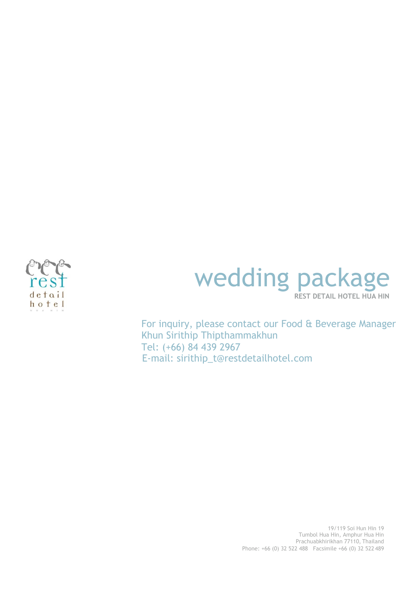

## wedding package **REST DETAIL HOTEL HUA HIN**

For inquiry, please contact our Food & Beverage Manager Khun Sirithip Thipthammakhun Tel: (+66) 84 439 2967 E-mail: [sirithip\\_t@restdetailhotel.com](mailto:sirithip_t@restdetailhotel.com)

> 19/119 Soi Hun Hin 19 Tumbol Hua Hin, Amphur Hua Hin Prachuabkhirikhan 77110, Thailand Phone: +66 (0) 32 522 488 Facsimile +66 (0) 32 522 489